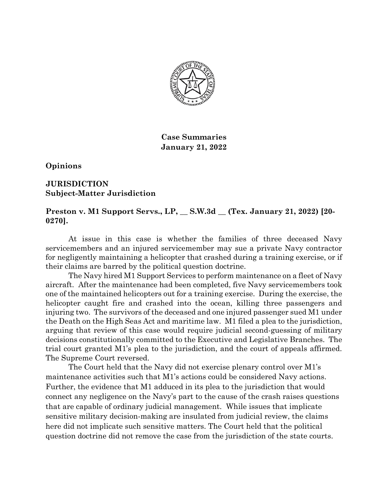

**Case Summaries January 21, 2022**

**Opinions**

### **JURISDICTION Subject-Matter Jurisdiction**

# **Preston v. M1 Support Servs., LP, \_\_ S.W.3d \_\_ (Tex. January 21, 2022) [20- 0270].**

At issue in this case is whether the families of three deceased Navy servicemembers and an injured servicemember may sue a private Navy contractor for negligently maintaining a helicopter that crashed during a training exercise, or if their claims are barred by the political question doctrine.

The Navy hired M1 Support Services to perform maintenance on a fleet of Navy aircraft. After the maintenance had been completed, five Navy servicemembers took one of the maintained helicopters out for a training exercise. During the exercise, the helicopter caught fire and crashed into the ocean, killing three passengers and injuring two. The survivors of the deceased and one injured passenger sued M1 under the Death on the High Seas Act and maritime law. M1 filed a plea to the jurisdiction, arguing that review of this case would require judicial second-guessing of military decisions constitutionally committed to the Executive and Legislative Branches. The trial court granted M1's plea to the jurisdiction, and the court of appeals affirmed. The Supreme Court reversed.

The Court held that the Navy did not exercise plenary control over M1's maintenance activities such that M1's actions could be considered Navy actions. Further, the evidence that M1 adduced in its plea to the jurisdiction that would connect any negligence on the Navy's part to the cause of the crash raises questions that are capable of ordinary judicial management. While issues that implicate sensitive military decision-making are insulated from judicial review, the claims here did not implicate such sensitive matters. The Court held that the political question doctrine did not remove the case from the jurisdiction of the state courts.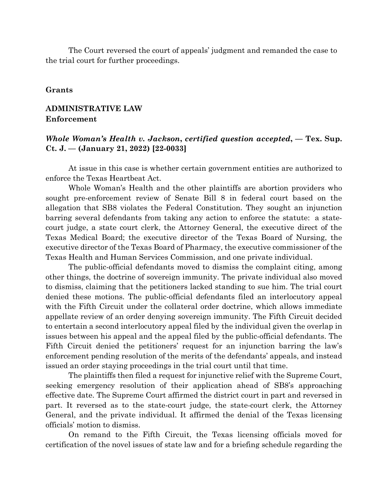The Court reversed the court of appeals' judgment and remanded the case to the trial court for further proceedings.

#### **Grants**

# **ADMINISTRATIVE LAW Enforcement**

#### *Whole Woman's Health v. Jackson***,** *certified question accepted***, — Tex. Sup. Ct. J. — (January 21, 2022) [22-0033]**

At issue in this case is whether certain government entities are authorized to enforce the Texas Heartbeat Act.

Whole Woman's Health and the other plaintiffs are abortion providers who sought pre-enforcement review of Senate Bill 8 in federal court based on the allegation that SB8 violates the Federal Constitution. They sought an injunction barring several defendants from taking any action to enforce the statute: a statecourt judge, a state court clerk, the Attorney General, the executive direct of the Texas Medical Board; the executive director of the Texas Board of Nursing, the executive director of the Texas Board of Pharmacy, the executive commissioner of the Texas Health and Human Services Commission, and one private individual.

The public-official defendants moved to dismiss the complaint citing, among other things, the doctrine of sovereign immunity. The private individual also moved to dismiss, claiming that the petitioners lacked standing to sue him. The trial court denied these motions. The public-official defendants filed an interlocutory appeal with the Fifth Circuit under the collateral order doctrine, which allows immediate appellate review of an order denying sovereign immunity. The Fifth Circuit decided to entertain a second interlocutory appeal filed by the individual given the overlap in issues between his appeal and the appeal filed by the public-official defendants. The Fifth Circuit denied the petitioners' request for an injunction barring the law's enforcement pending resolution of the merits of the defendants' appeals, and instead issued an order staying proceedings in the trial court until that time.

The plaintiffs then filed a request for injunctive relief with the Supreme Court, seeking emergency resolution of their application ahead of SB8's approaching effective date. The Supreme Court affirmed the district court in part and reversed in part. It reversed as to the state-court judge, the state-court clerk, the Attorney General, and the private individual. It affirmed the denial of the Texas licensing officials' motion to dismiss.

On remand to the Fifth Circuit, the Texas licensing officials moved for certification of the novel issues of state law and for a briefing schedule regarding the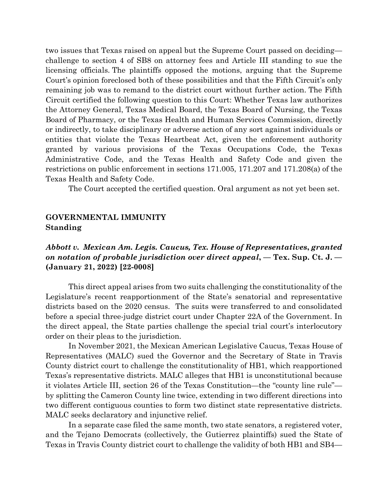two issues that Texas raised on appeal but the Supreme Court passed on deciding challenge to section 4 of SB8 on attorney fees and Article III standing to sue the licensing officials. The plaintiffs opposed the motions, arguing that the Supreme Court's opinion foreclosed both of these possibilities and that the Fifth Circuit's only remaining job was to remand to the district court without further action. The Fifth Circuit certified the following question to this Court: Whether Texas law authorizes the Attorney General, Texas Medical Board, the Texas Board of Nursing, the Texas Board of Pharmacy, or the Texas Health and Human Services Commission, directly or indirectly, to take disciplinary or adverse action of any sort against individuals or entities that violate the Texas Heartbeat Act, given the enforcement authority granted by various provisions of the Texas Occupations Code, the Texas Administrative Code, and the Texas Health and Safety Code and given the restrictions on public enforcement in sections 171.005, 171.207 and 171.208(a) of the Texas Health and Safety Code.

The Court accepted the certified question. Oral argument as not yet been set.

#### **GOVERNMENTAL IMMUNITY Standing**

## *Abbott v. Mexican Am. Legis. Caucus, Tex. House of Representatives***,** *granted on notation of probable jurisdiction over direct appeal***, — Tex. Sup. Ct. J. — (January 21, 2022) [22-0008]**

This direct appeal arises from two suits challenging the constitutionality of the Legislature's recent reapportionment of the State's senatorial and representative districts based on the 2020 census. The suits were transferred to and consolidated before a special three-judge district court under Chapter 22A of the Government. In the direct appeal, the State parties challenge the special trial court's interlocutory order on their pleas to the jurisdiction.

In November 2021, the Mexican American Legislative Caucus, Texas House of Representatives (MALC) sued the Governor and the Secretary of State in Travis County district court to challenge the constitutionality of HB1, which reapportioned Texas's representative districts. MALC alleges that HB1 is unconstitutional because it violates Article III, section 26 of the Texas Constitution—the "county line rule" by splitting the Cameron County line twice, extending in two different directions into two different contiguous counties to form two distinct state representative districts. MALC seeks declaratory and injunctive relief.

In a separate case filed the same month, two state senators, a registered voter, and the Tejano Democrats (collectively, the Gutierrez plaintiffs) sued the State of Texas in Travis County district court to challenge the validity of both HB1 and SB4